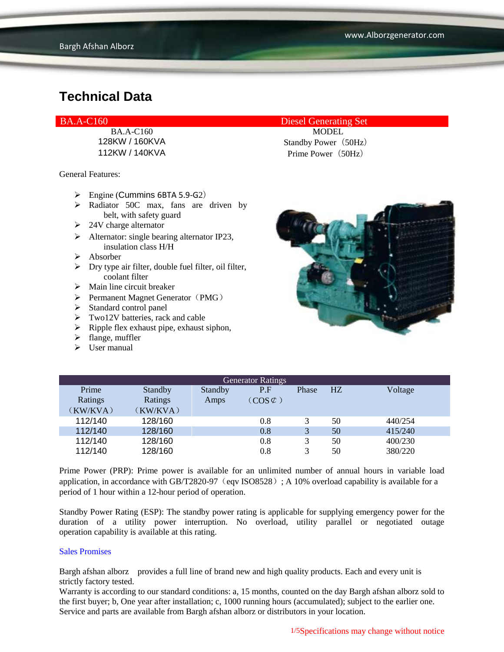General Features:

- $\triangleright$  Engine (Cummins 6BTA 5.9-G2)
- $\triangleright$  Radiator 50C max, fans are driven by belt, with safety guard
- $\geq 24V$  charge alternator
- $\triangleright$  Alternator: single bearing alternator IP23, insulation class H/H
- Absorber
- $\triangleright$  Dry type air filter, double fuel filter, oil filter, coolant filter
- $\triangleright$  Main line circuit breaker
- $\triangleright$  Permanent Magnet Generator (PMG)
- $\triangleright$  Standard control panel
- $\triangleright$  Two12V batteries, rack and cable
- $\triangleright$  Ripple flex exhaust pipe, exhaust siphon,
- $\blacktriangleright$  flange, muffler
- $\triangleright$  User manual

BA.A-C160 Diesel Generating Set

BA.A-C160 MODEL 128KW / 160KVA Standby Power (50Hz) 112KW / 140KVA Prime Power(50Hz)



| <b>Generator Ratings</b> |          |                |                     |       |                |         |
|--------------------------|----------|----------------|---------------------|-------|----------------|---------|
| Prime                    | Standby  | <b>Standby</b> | P.F                 | Phase | H <sub>Z</sub> | Voltage |
| Ratings                  | Ratings  | Amps           | $(COS \mathcal{C})$ |       |                |         |
| (KW/KVA)                 | (KW/KVA) |                |                     |       |                |         |
| 112/140                  | 128/160  |                | 0.8                 |       | 50             | 440/254 |
| 112/140                  | 128/160  |                | 0.8                 | 3     | 50             | 415/240 |
| 112/140                  | 128/160  |                | 0.8                 | 3     | 50             | 400/230 |
| 112/140                  | 128/160  |                | $0.8\,$             | 3     | 50             | 380/220 |

Prime Power (PRP): Prime power is available for an unlimited number of annual hours in variable load application, in accordance with GB/T2820-97 (eqv ISO8528); A 10% overload capability is available for a period of 1 hour within a 12-hour period of operation.

Standby Power Rating (ESP): The standby power rating is applicable for supplying emergency power for the duration of a utility power interruption. No overload, utility parallel or negotiated outage operation capability is available at this rating.

#### Sales Promises

Bargh afshan alborz provides a full line of brand new and high quality products. Each and every unit is strictly factory tested.

Warranty is according to our standard conditions: a, 15 months, counted on the day Bargh afshan alborz sold to the first buyer; b, One year after installation; c, 1000 running hours (accumulated); subject to the earlier one. Service and parts are available from Bargh afshan alborz or distributors in your location.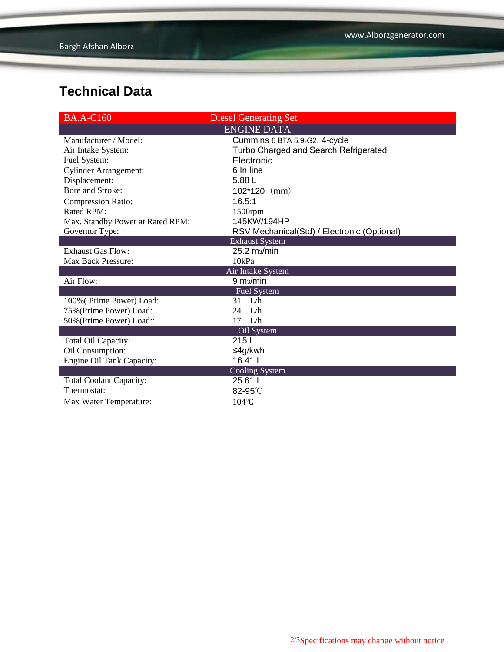| <b>BA.A-C160</b>                 | <b>Diesel Generating Set</b>                |
|----------------------------------|---------------------------------------------|
|                                  | <b>ENGINE DATA</b>                          |
| Manufacturer / Model:            | Cummins 6 BTA 5.9-G2, 4-cycle               |
| Air Intake System:               | Turbo Charged and Search Refrigerated       |
| Fuel System:                     | Electronic                                  |
| <b>Cylinder Arrangement:</b>     | 6 In line                                   |
| Displacement:                    | 5.88 L                                      |
| Bore and Stroke:                 | $102*120$ (mm)                              |
| <b>Compression Ratio:</b>        | 16.5:1                                      |
| Rated RPM:                       | $1500$ rpm                                  |
| Max. Standby Power at Rated RPM: | 145KW/194HP                                 |
| Governor Type:                   | RSV Mechanical(Std) / Electronic (Optional) |
|                                  | <b>Exhaust System</b>                       |
| <b>Exhaust Gas Flow:</b>         | 25.2 m <sub>3</sub> /min                    |
| <b>Max Back Pressure:</b>        | 10kPa                                       |
|                                  | Air Intake System                           |
| Air Flow:                        | 9 m <sub>3</sub> /min                       |
|                                  | <b>Fuel System</b>                          |
| 100% (Prime Power) Load:         | L/h<br>31                                   |
| 75% (Prime Power) Load:          | L/h<br>24                                   |
| 50% (Prime Power) Load::         | L/h<br>17                                   |
|                                  | Oil System                                  |
| Total Oil Capacity:              | 215L                                        |
| Oil Consumption:                 | ≤4g/kwh                                     |
| Engine Oil Tank Capacity:        | 16.41 L                                     |
|                                  | Cooling System                              |
| <b>Total Coolant Capacity:</b>   | 25.61 L                                     |
| Thermostat:                      | 82-95°C                                     |
| Max Water Temperature:           | $104$ °C                                    |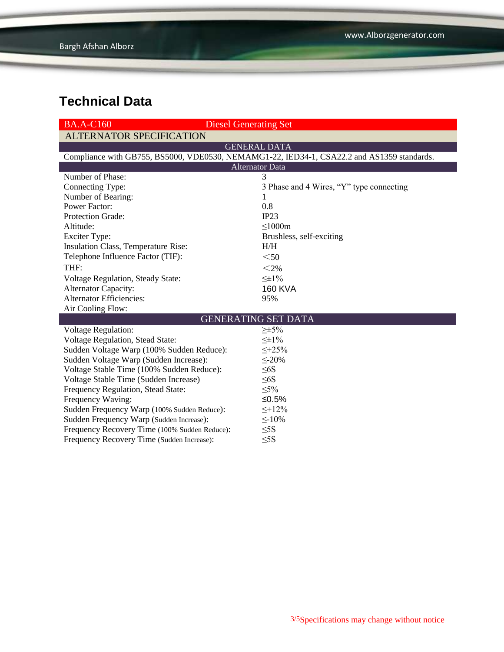| <b>BA.A-C160</b>                                                                           | <b>Diesel Generating Set</b>             |  |  |  |  |
|--------------------------------------------------------------------------------------------|------------------------------------------|--|--|--|--|
| <b>ALTERNATOR SPECIFICATION</b>                                                            |                                          |  |  |  |  |
| <b>GENERAL DATA</b>                                                                        |                                          |  |  |  |  |
| Compliance with GB755, BS5000, VDE0530, NEMAMG1-22, IED34-1, CSA22.2 and AS1359 standards. |                                          |  |  |  |  |
| <b>Alternator Data</b>                                                                     |                                          |  |  |  |  |
| Number of Phase:                                                                           | 3                                        |  |  |  |  |
| Connecting Type:                                                                           | 3 Phase and 4 Wires, "Y" type connecting |  |  |  |  |
| Number of Bearing:                                                                         | 1                                        |  |  |  |  |
| <b>Power Factor:</b>                                                                       | 0.8                                      |  |  |  |  |
| <b>Protection Grade:</b>                                                                   | IP23                                     |  |  |  |  |
| Altitude:                                                                                  | $\leq$ 1000m                             |  |  |  |  |
| <b>Exciter Type:</b>                                                                       | Brushless, self-exciting                 |  |  |  |  |
| Insulation Class, Temperature Rise:                                                        | H/H                                      |  |  |  |  |
| Telephone Influence Factor (TIF):                                                          | $50$                                     |  |  |  |  |
| THF:                                                                                       | $<$ 2%                                   |  |  |  |  |
| Voltage Regulation, Steady State:                                                          | $\leq \pm 1\%$                           |  |  |  |  |
| <b>Alternator Capacity:</b>                                                                | <b>160 KVA</b>                           |  |  |  |  |
| <b>Alternator Efficiencies:</b>                                                            | 95%                                      |  |  |  |  |
| Air Cooling Flow:                                                                          |                                          |  |  |  |  |
| <b>GENERATING SET DATA</b>                                                                 |                                          |  |  |  |  |
| <b>Voltage Regulation:</b>                                                                 | $\geq \pm 5\%$                           |  |  |  |  |
| Voltage Regulation, Stead State:                                                           | $\leq \pm 1\%$                           |  |  |  |  |
| Sudden Voltage Warp (100% Sudden Reduce):                                                  | $\leq +25\%$                             |  |  |  |  |
| Sudden Voltage Warp (Sudden Increase):                                                     | $\leq$ -20%                              |  |  |  |  |
| Voltage Stable Time (100% Sudden Reduce):                                                  | $\leq 6S$                                |  |  |  |  |
| Voltage Stable Time (Sudden Increase)                                                      | $\leq 6S$                                |  |  |  |  |
| Frequency Regulation, Stead State:                                                         | $\leq 5\%$                               |  |  |  |  |
| Frequency Waving:                                                                          | ≤0.5%                                    |  |  |  |  |
| Sudden Frequency Warp (100% Sudden Reduce):                                                | $\leq +12\%$                             |  |  |  |  |
| Sudden Frequency Warp (Sudden Increase):                                                   | $\leq$ -10%                              |  |  |  |  |
| Frequency Recovery Time (100% Sudden Reduce):                                              | $\leq$ 5S                                |  |  |  |  |
| Frequency Recovery Time (Sudden Increase):                                                 | $\leq$ 5S                                |  |  |  |  |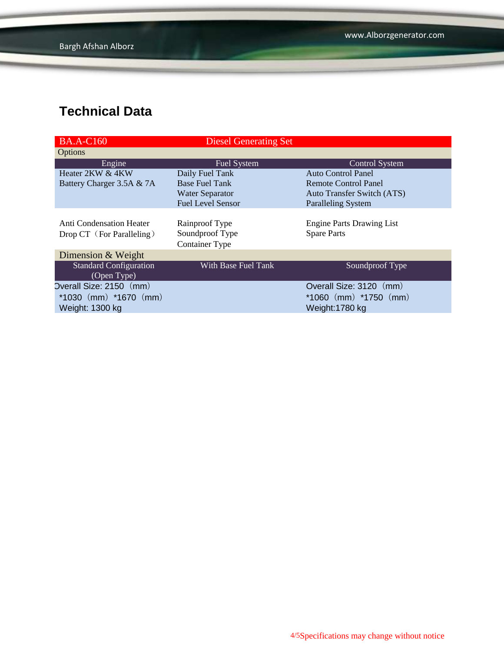| <b>BA.A-C160</b>                                      | <b>Diesel Generating Set</b>                               |                                                        |
|-------------------------------------------------------|------------------------------------------------------------|--------------------------------------------------------|
| Options                                               |                                                            |                                                        |
| Engine                                                | <b>Fuel System</b>                                         | <b>Control System</b>                                  |
| Heater 2KW & 4KW                                      | Daily Fuel Tank                                            | <b>Auto Control Panel</b>                              |
| Battery Charger 3.5A & 7A                             | <b>Base Fuel Tank</b>                                      | Remote Control Panel                                   |
|                                                       | <b>Water Separator</b>                                     | <b>Auto Transfer Switch (ATS)</b>                      |
|                                                       | <b>Fuel Level Sensor</b>                                   | <b>Paralleling System</b>                              |
| Anti Condensation Heater<br>Drop CT (For Paralleling) | Rainproof Type<br>Soundproof Type<br><b>Container Type</b> | <b>Engine Parts Drawing List</b><br><b>Spare Parts</b> |
| Dimension & Weight                                    |                                                            |                                                        |
| <b>Standard Configuration</b><br>(Open Type)          | With Base Fuel Tank                                        | Soundproof Type                                        |
| Overall Size: 2150 (mm)                               |                                                            | Overall Size: 3120 (mm)                                |
| $*1030$ (mm) $*1670$ (mm)                             |                                                            | $*1060$ (mm) $*1750$ (mm)                              |
| Weight: 1300 kg                                       |                                                            | Weight:1780 kg                                         |